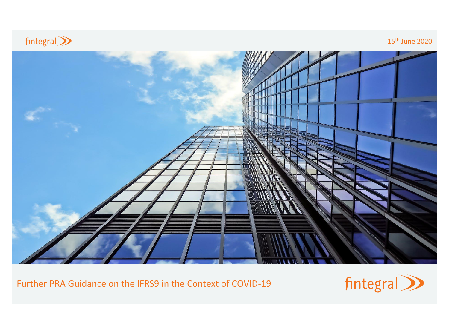

15th June 2020



Further PRA Guidance on the IFRS9 in the Context of COVID-19

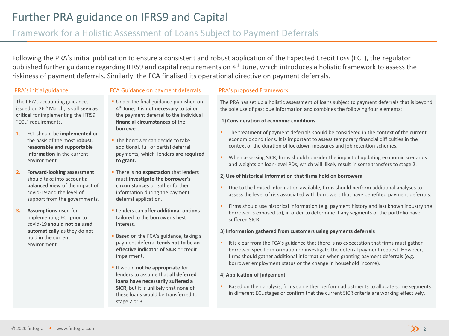# Further PRA guidance on IFRS9 and Capital

## Framework for a Holistic Assessment of Loans Subject to Payment Deferrals

Following the PRA's initial publication to ensure a consistent and robust application of the Expected Credit Loss (ECL), the regulator published further guidance regarding IFRS9 and capital requirements on 4<sup>th</sup> June, which introduces a holistic framework to assess the riskiness of payment deferrals. Similarly, the FCA finalised its operational directive on payment deferrals.

### PRA's initial guidance FCA Guidance on payment deferrals PRA's proposed Framework

The PRA's accounting guidance, issued on 26th March, is still **seen as critical** for implementing the IFRS9 "ECL" requirements.

- 1. ECL should be **implemented** on the basis of the most **robust, reasonable and supportable information** in the current environment.
- **2. Forward-looking assessment**  should take into account a **balanced view** of the impact of covid-19 and the level of support from the governments.
- **3. Assumptions** used for implementing ECL prior to covid-19 **should not be used automatically** as they do not hold in the current environment.
- **Under the final guidance published on** 4 th June, it is **not necessary to tailor**  the payment deferral to the individual **financial circumstances** of the borrower.
- **.** The borrower can decide to take additional, full or partial deferral payments, which lenders **are required to grant.**
- **There is no expectation** that lenders must **investigate the borrower's circumstances** or gather further information during the payment deferral application.
- Lenders can **offer additional options**  tailored to the borrower's best interest.
- Based on the FCA's guidance, taking a payment deferral **tends not to be an effective indicator of SICR** or credit impairment.
- It would **not be appropriate** for lenders to assume that **all deferred loans have necessarily suffered a SICR**, but it is unlikely that none of these loans would be transferred to stage 2 or 3.

The PRA has set up a holistic assessment of loans subject to payment deferrals that is beyond the sole use of past due information and combines the following four elements:

#### **1) Consideration of economic conditions**

- The treatment of payment deferrals should be considered in the context of the current economic conditions. It is important to assess temporary financial difficulties in the context of the duration of lockdown measures and job retention schemes.
- When assessing SICR, firms should consider the impact of updating economic scenarios and weights on loan-level PDs, which will likely result in some transfers to stage 2.

#### **2) Use of historical information that firms hold on borrowers**

- Due to the limited information available, firms should perform additional analyses to assess the level of risk associated with borrowers that have benefited payment deferrals.
- **•** Firms should use historical information (e.g. payment history and last known industry the borrower is exposed to), in order to determine if any segments of the portfolio have suffered SICR.

#### **3) Information gathered from customers using payments deferrals**

■ It is clear from the FCA's guidance that there is no expectation that firms must gather borrower-specific information or investigate the deferral payment request. However, firms should gather additional information when granting payment deferrals (e.g. borrower employment status or the change in household income).

#### **4) Application of judgement**

Based on their analysis, firms can either perform adjustments to allocate some segments in different ECL stages or confirm that the current SICR criteria are working effectively.